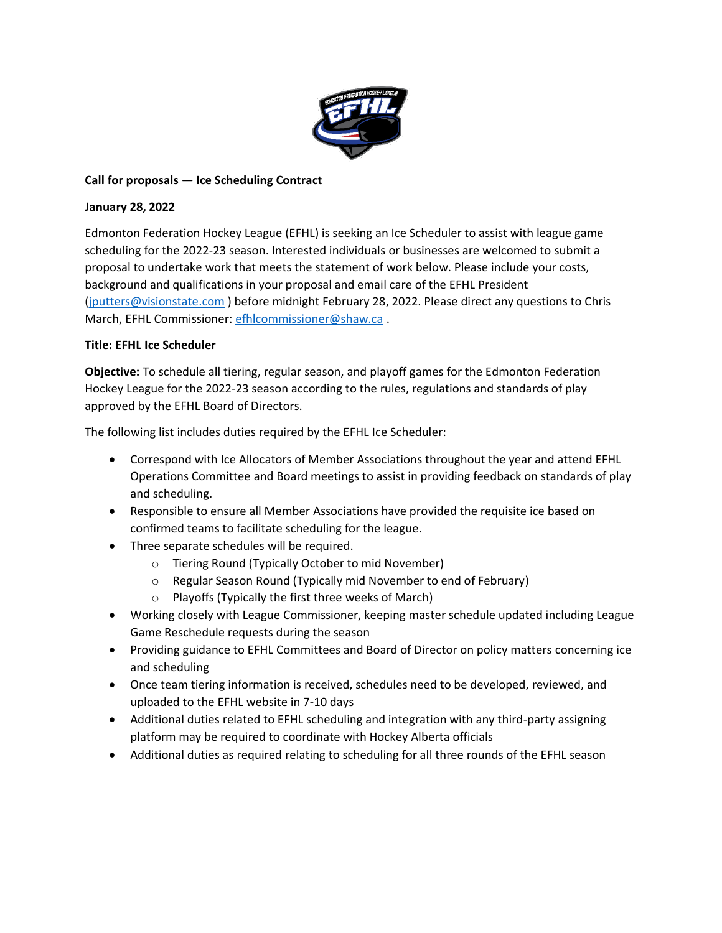

# **Call for proposals — Ice Scheduling Contract**

### **January 28, 2022**

Edmonton Federation Hockey League (EFHL) is seeking an Ice Scheduler to assist with league game scheduling for the 2022-23 season. Interested individuals or businesses are welcomed to submit a proposal to undertake work that meets the statement of work below. Please include your costs, background and qualifications in your proposal and email care of the EFHL President [\(jputters@visionstate.com](mailto:jputters@visionstate.com) ) before midnight February 28, 2022. Please direct any questions to Chris March, EFHL Commissioner: [efhlcommissioner@shaw.ca](mailto:efhlcommissioner@shaw.ca) .

## **Title: EFHL Ice Scheduler**

**Objective:** To schedule all tiering, regular season, and playoff games for the Edmonton Federation Hockey League for the 2022-23 season according to the rules, regulations and standards of play approved by the EFHL Board of Directors.

The following list includes duties required by the EFHL Ice Scheduler:

- Correspond with Ice Allocators of Member Associations throughout the year and attend EFHL Operations Committee and Board meetings to assist in providing feedback on standards of play and scheduling.
- Responsible to ensure all Member Associations have provided the requisite ice based on confirmed teams to facilitate scheduling for the league.
- Three separate schedules will be required.
	- o Tiering Round (Typically October to mid November)
	- o Regular Season Round (Typically mid November to end of February)
	- o Playoffs (Typically the first three weeks of March)
- Working closely with League Commissioner, keeping master schedule updated including League Game Reschedule requests during the season
- Providing guidance to EFHL Committees and Board of Director on policy matters concerning ice and scheduling
- Once team tiering information is received, schedules need to be developed, reviewed, and uploaded to the EFHL website in 7-10 days
- Additional duties related to EFHL scheduling and integration with any third-party assigning platform may be required to coordinate with Hockey Alberta officials
- Additional duties as required relating to scheduling for all three rounds of the EFHL season